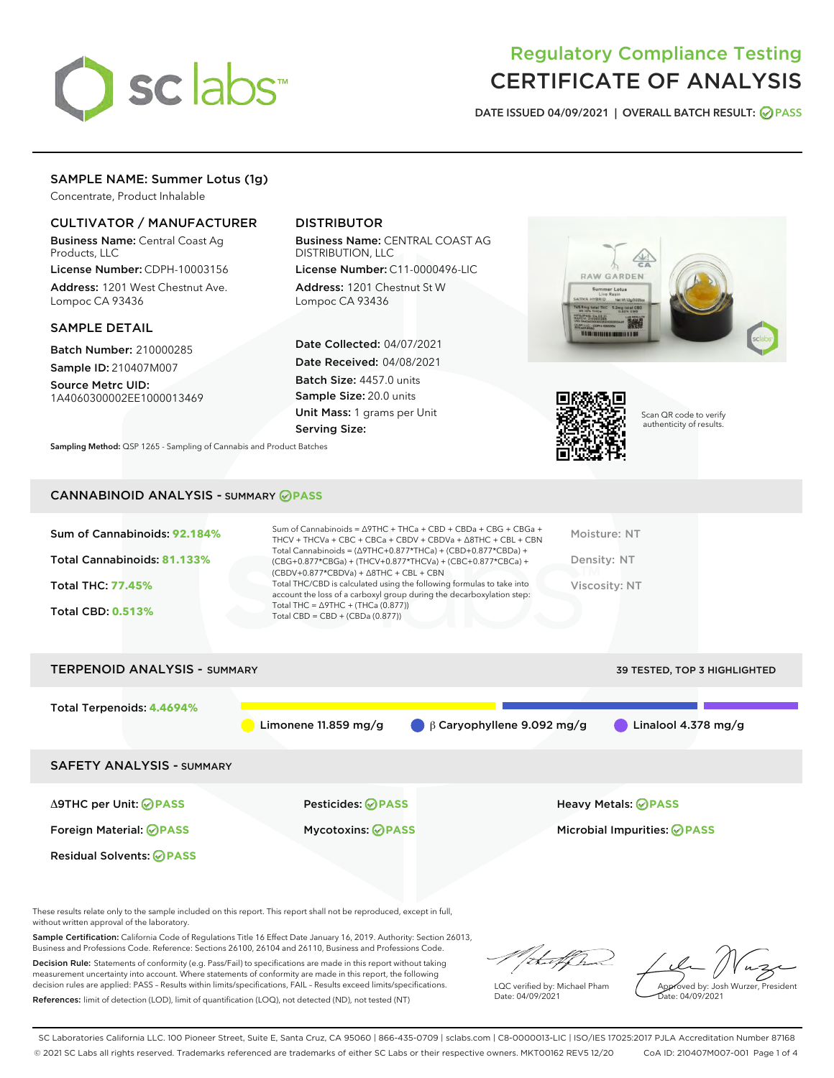

# Regulatory Compliance Testing CERTIFICATE OF ANALYSIS

DATE ISSUED 04/09/2021 | OVERALL BATCH RESULT: @ PASS

# SAMPLE NAME: Summer Lotus (1g)

Concentrate, Product Inhalable

## CULTIVATOR / MANUFACTURER

Business Name: Central Coast Ag Products, LLC

License Number: CDPH-10003156 Address: 1201 West Chestnut Ave. Lompoc CA 93436

### SAMPLE DETAIL

Batch Number: 210000285 Sample ID: 210407M007

Source Metrc UID: 1A4060300002EE1000013469

# DISTRIBUTOR

Business Name: CENTRAL COAST AG DISTRIBUTION, LLC

License Number: C11-0000496-LIC Address: 1201 Chestnut St W Lompoc CA 93436

Date Collected: 04/07/2021 Date Received: 04/08/2021 Batch Size: 4457.0 units Sample Size: 20.0 units Unit Mass: 1 grams per Unit Serving Size:





Scan QR code to verify authenticity of results.

CANNABINOID ANALYSIS - SUMMARY **PASS**

Sampling Method: QSP 1265 - Sampling of Cannabis and Product Batches

| Sum of Cannabinoids: 92.184% | Sum of Cannabinoids = $\triangle$ 9THC + THCa + CBD + CBDa + CBG + CBGa +<br>THCV + THCVa + CBC + CBCa + CBDV + CBDVa + $\Delta$ 8THC + CBL + CBN                                    | Moisture: NT  |
|------------------------------|--------------------------------------------------------------------------------------------------------------------------------------------------------------------------------------|---------------|
| Total Cannabinoids: 81.133%  | Total Cannabinoids = $(\Delta$ 9THC+0.877*THCa) + (CBD+0.877*CBDa) +<br>(CBG+0.877*CBGa) + (THCV+0.877*THCVa) + (CBC+0.877*CBCa) +<br>$(CBDV+0.877*CBDVa) + \Delta 8THC + CBL + CBN$ | Density: NT   |
| <b>Total THC: 77.45%</b>     | Total THC/CBD is calculated using the following formulas to take into<br>account the loss of a carboxyl group during the decarboxylation step:                                       | Viscosity: NT |
| <b>Total CBD: 0.513%</b>     | Total THC = $\triangle$ 9THC + (THCa (0.877))<br>Total CBD = $CBD + (CBDa (0.877))$                                                                                                  |               |
|                              |                                                                                                                                                                                      |               |

| <b>TERPENOID ANALYSIS - SUMMARY</b> |                          |                                  | 39 TESTED, TOP 3 HIGHLIGHTED |
|-------------------------------------|--------------------------|----------------------------------|------------------------------|
| Total Terpenoids: 4.4694%           | Limonene $11.859$ mg/g   | $\beta$ Caryophyllene 9.092 mg/g | Linalool 4.378 mg/g          |
| <b>SAFETY ANALYSIS - SUMMARY</b>    |                          |                                  |                              |
| ∆9THC per Unit: ⊘PASS               | <b>Pesticides: ⊘PASS</b> |                                  | <b>Heavy Metals: ⊘ PASS</b>  |
| Foreign Material: <b>⊘ PASS</b>     | <b>Mycotoxins: ⊘PASS</b> |                                  | Microbial Impurities: @PASS  |
| <b>Residual Solvents: ⊘PASS</b>     |                          |                                  |                              |

These results relate only to the sample included on this report. This report shall not be reproduced, except in full, without written approval of the laboratory.

Sample Certification: California Code of Regulations Title 16 Effect Date January 16, 2019. Authority: Section 26013, Business and Professions Code. Reference: Sections 26100, 26104 and 26110, Business and Professions Code.

Decision Rule: Statements of conformity (e.g. Pass/Fail) to specifications are made in this report without taking measurement uncertainty into account. Where statements of conformity are made in this report, the following decision rules are applied: PASS – Results within limits/specifications, FAIL – Results exceed limits/specifications. References: limit of detection (LOD), limit of quantification (LOQ), not detected (ND), not tested (NT)

/that f(h

LQC verified by: Michael Pham Date: 04/09/2021

Approved by: Josh Wurzer, President

Date: 04/09/2021

SC Laboratories California LLC. 100 Pioneer Street, Suite E, Santa Cruz, CA 95060 | 866-435-0709 | sclabs.com | C8-0000013-LIC | ISO/IES 17025:2017 PJLA Accreditation Number 87168 © 2021 SC Labs all rights reserved. Trademarks referenced are trademarks of either SC Labs or their respective owners. MKT00162 REV5 12/20 CoA ID: 210407M007-001 Page 1 of 4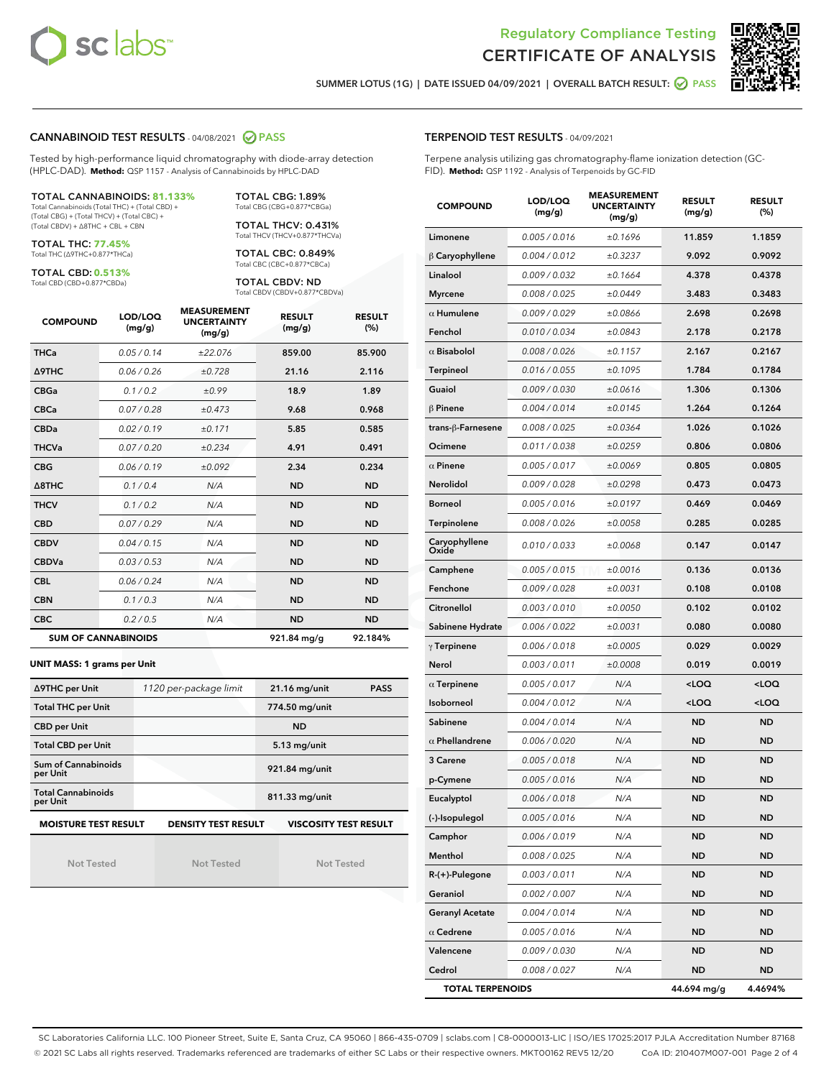



SUMMER LOTUS (1G) | DATE ISSUED 04/09/2021 | OVERALL BATCH RESULT: **○** PASS

## CANNABINOID TEST RESULTS - 04/08/2021 2 PASS

Tested by high-performance liquid chromatography with diode-array detection (HPLC-DAD). **Method:** QSP 1157 - Analysis of Cannabinoids by HPLC-DAD

#### TOTAL CANNABINOIDS: **81.133%**

Total Cannabinoids (Total THC) + (Total CBD) + (Total CBG) + (Total THCV) + (Total CBC) + (Total CBDV) + ∆8THC + CBL + CBN

TOTAL THC: **77.45%** Total THC (∆9THC+0.877\*THCa)

TOTAL CBD: **0.513%**

Total CBD (CBD+0.877\*CBDa)

TOTAL CBG: 1.89% Total CBG (CBG+0.877\*CBGa)

TOTAL THCV: 0.431% Total THCV (THCV+0.877\*THCVa)

TOTAL CBC: 0.849% Total CBC (CBC+0.877\*CBCa)

TOTAL CBDV: ND Total CBDV (CBDV+0.877\*CBDVa)

| <b>COMPOUND</b> | LOD/LOQ<br>(mg/g)          | <b>MEASUREMENT</b><br><b>UNCERTAINTY</b><br>(mg/g) | <b>RESULT</b><br>(mg/g) | <b>RESULT</b><br>(%) |
|-----------------|----------------------------|----------------------------------------------------|-------------------------|----------------------|
| <b>THCa</b>     | 0.05/0.14                  | ±22.076                                            | 859.00                  | 85.900               |
| <b>A9THC</b>    | 0.06 / 0.26                | ±0.728                                             | 21.16                   | 2.116                |
| <b>CBGa</b>     | 0.1/0.2                    | ±0.99                                              | 18.9                    | 1.89                 |
| <b>CBCa</b>     | 0.07 / 0.28                | ±0.473                                             | 9.68                    | 0.968                |
| <b>CBDa</b>     | 0.02/0.19                  | ±0.171                                             | 5.85                    | 0.585                |
| <b>THCVa</b>    | 0.07/0.20                  | ±0.234                                             | 4.91                    | 0.491                |
| <b>CBG</b>      | 0.06/0.19                  | ±0.092                                             | 2.34                    | 0.234                |
| A8THC           | 0.1/0.4                    | N/A                                                | <b>ND</b>               | <b>ND</b>            |
| <b>THCV</b>     | 0.1/0.2                    | N/A                                                | <b>ND</b>               | <b>ND</b>            |
| <b>CBD</b>      | 0.07/0.29                  | N/A                                                | <b>ND</b>               | <b>ND</b>            |
| <b>CBDV</b>     | 0.04 / 0.15                | N/A                                                | <b>ND</b>               | <b>ND</b>            |
| <b>CBDVa</b>    | 0.03/0.53                  | N/A                                                | <b>ND</b>               | <b>ND</b>            |
| <b>CBL</b>      | 0.06 / 0.24                | N/A                                                | <b>ND</b>               | <b>ND</b>            |
| <b>CBN</b>      | 0.1/0.3                    | N/A                                                | <b>ND</b>               | <b>ND</b>            |
| <b>CBC</b>      | 0.2 / 0.5                  | N/A                                                | <b>ND</b>               | <b>ND</b>            |
|                 | <b>SUM OF CANNABINOIDS</b> |                                                    | 921.84 mg/g             | 92.184%              |

#### **UNIT MASS: 1 grams per Unit**

| ∆9THC per Unit                        | 1120 per-package limit     | <b>PASS</b><br>$21.16$ mg/unit |
|---------------------------------------|----------------------------|--------------------------------|
| <b>Total THC per Unit</b>             |                            | 774.50 mg/unit                 |
| <b>CBD per Unit</b>                   |                            | <b>ND</b>                      |
| <b>Total CBD per Unit</b>             |                            | $5.13$ mg/unit                 |
| Sum of Cannabinoids<br>per Unit       |                            | 921.84 mg/unit                 |
| <b>Total Cannabinoids</b><br>per Unit |                            | 811.33 mg/unit                 |
| <b>MOISTURE TEST RESULT</b>           | <b>DENSITY TEST RESULT</b> | <b>VISCOSITY TEST RESULT</b>   |

Not Tested

Not Tested

Not Tested

### TERPENOID TEST RESULTS - 04/09/2021

Terpene analysis utilizing gas chromatography-flame ionization detection (GC-FID). **Method:** QSP 1192 - Analysis of Terpenoids by GC-FID

| <b>COMPOUND</b>         | LOD/LOQ<br>(mg/g) | <b>MEASUREMENT</b><br><b>UNCERTAINTY</b><br>(mg/g) | <b>RESULT</b><br>(mg/g)                         | <b>RESULT</b><br>$(\%)$ |
|-------------------------|-------------------|----------------------------------------------------|-------------------------------------------------|-------------------------|
| Limonene                | 0.005 / 0.016     | ±0.1696                                            | 11.859                                          | 1.1859                  |
| $\beta$ Caryophyllene   | 0.004 / 0.012     | ±0.3237                                            | 9.092                                           | 0.9092                  |
| Linalool                | 0.009 / 0.032     | ±0.1664                                            | 4.378                                           | 0.4378                  |
| <b>Myrcene</b>          | 0.008 / 0.025     | ±0.0449                                            | 3.483                                           | 0.3483                  |
| $\alpha$ Humulene       | 0.009/0.029       | ±0.0866                                            | 2.698                                           | 0.2698                  |
| Fenchol                 | 0.010 / 0.034     | ±0.0843                                            | 2.178                                           | 0.2178                  |
| $\alpha$ Bisabolol      | 0.008 / 0.026     | ±0.1157                                            | 2.167                                           | 0.2167                  |
| <b>Terpineol</b>        | 0.016 / 0.055     | ±0.1095                                            | 1.784                                           | 0.1784                  |
| Guaiol                  | 0.009 / 0.030     | ±0.0616                                            | 1.306                                           | 0.1306                  |
| $\beta$ Pinene          | 0.004 / 0.014     | ±0.0145                                            | 1.264                                           | 0.1264                  |
| trans-β-Farnesene       | 0.008 / 0.025     | ±0.0364                                            | 1.026                                           | 0.1026                  |
| Ocimene                 | 0.011 / 0.038     | ±0.0259                                            | 0.806                                           | 0.0806                  |
| $\alpha$ Pinene         | 0.005 / 0.017     | ±0.0069                                            | 0.805                                           | 0.0805                  |
| Nerolidol               | 0.009 / 0.028     | ±0.0298                                            | 0.473                                           | 0.0473                  |
| <b>Borneol</b>          | 0.005 / 0.016     | ±0.0197                                            | 0.469                                           | 0.0469                  |
| Terpinolene             | 0.008 / 0.026     | ±0.0058                                            | 0.285                                           | 0.0285                  |
| Caryophyllene<br>Oxide  | 0.010 / 0.033     | ±0.0068                                            | 0.147                                           | 0.0147                  |
| Camphene                | 0.005 / 0.015     | ±0.0016                                            | 0.136                                           | 0.0136                  |
| Fenchone                | 0.009 / 0.028     | ±0.0031                                            | 0.108                                           | 0.0108                  |
| Citronellol             | 0.003 / 0.010     | ±0.0050                                            | 0.102                                           | 0.0102                  |
| Sabinene Hydrate        | 0.006 / 0.022     | ±0.0031                                            | 0.080                                           | 0.0080                  |
| $\gamma$ Terpinene      | 0.006 / 0.018     | ±0.0005                                            | 0.029                                           | 0.0029                  |
| Nerol                   | 0.003 / 0.011     | ±0.0008                                            | 0.019                                           | 0.0019                  |
| $\alpha$ Terpinene      | 0.005 / 0.017     | N/A                                                | <loq< th=""><th><loq< th=""></loq<></th></loq<> | <loq< th=""></loq<>     |
| Isoborneol              | 0.004 / 0.012     | N/A                                                | <loq< th=""><th><loq< th=""></loq<></th></loq<> | <loq< th=""></loq<>     |
| Sabinene                | 0.004 / 0.014     | N/A                                                | <b>ND</b>                                       | <b>ND</b>               |
| $\alpha$ Phellandrene   | 0.006 / 0.020     | N/A                                                | <b>ND</b>                                       | <b>ND</b>               |
| 3 Carene                | 0.005 / 0.018     | N/A                                                | ND                                              | <b>ND</b>               |
| p-Cymene                | 0.005 / 0.016     | N/A                                                | <b>ND</b>                                       | <b>ND</b>               |
| Eucalyptol              | 0.006 / 0.018     | N/A                                                | <b>ND</b>                                       | <b>ND</b>               |
| (-)-Isopulegol          | 0.005 / 0.016     | N/A                                                | ND                                              | ND                      |
| Camphor                 | 0.006 / 0.019     | N/A                                                | ND                                              | <b>ND</b>               |
| Menthol                 | 0.008 / 0.025     | N/A                                                | ND                                              | <b>ND</b>               |
| R-(+)-Pulegone          | 0.003 / 0.011     | N/A                                                | ND                                              | ND                      |
| Geraniol                | 0.002 / 0.007     | N/A                                                | ND                                              | ND                      |
| <b>Geranyl Acetate</b>  | 0.004 / 0.014     | N/A                                                | ND                                              | <b>ND</b>               |
| $\alpha$ Cedrene        | 0.005 / 0.016     | N/A                                                | ND                                              | ND                      |
| Valencene               | 0.009 / 0.030     | N/A                                                | ND                                              | ND                      |
| Cedrol                  | 0.008 / 0.027     | N/A                                                | ND                                              | <b>ND</b>               |
| <b>TOTAL TERPENOIDS</b> |                   |                                                    | 44.694 mg/g                                     | 4.4694%                 |

SC Laboratories California LLC. 100 Pioneer Street, Suite E, Santa Cruz, CA 95060 | 866-435-0709 | sclabs.com | C8-0000013-LIC | ISO/IES 17025:2017 PJLA Accreditation Number 87168 © 2021 SC Labs all rights reserved. Trademarks referenced are trademarks of either SC Labs or their respective owners. MKT00162 REV5 12/20 CoA ID: 210407M007-001 Page 2 of 4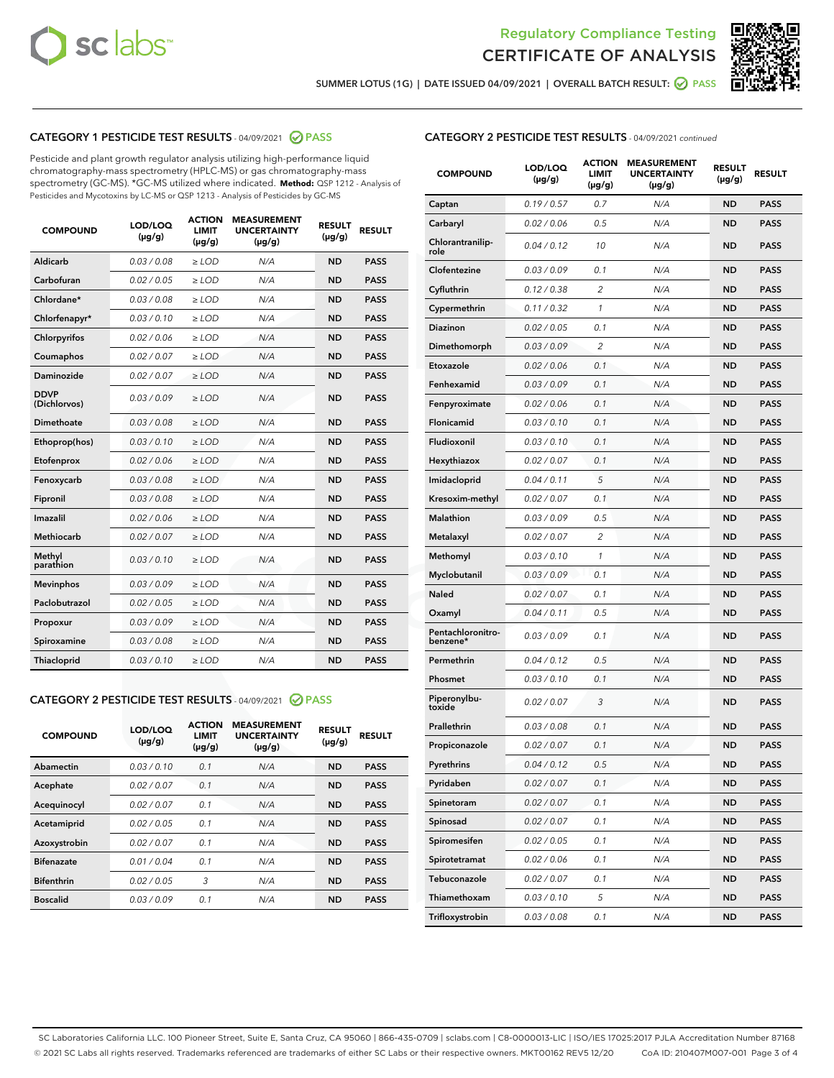



SUMMER LOTUS (1G) | DATE ISSUED 04/09/2021 | OVERALL BATCH RESULT: 2 PASS

## CATEGORY 1 PESTICIDE TEST RESULTS - 04/09/2021 2 PASS

Pesticide and plant growth regulator analysis utilizing high-performance liquid chromatography-mass spectrometry (HPLC-MS) or gas chromatography-mass spectrometry (GC-MS). \*GC-MS utilized where indicated. **Method:** QSP 1212 - Analysis of Pesticides and Mycotoxins by LC-MS or QSP 1213 - Analysis of Pesticides by GC-MS

| <b>COMPOUND</b>             | LOD/LOQ<br>$(\mu g/g)$ | <b>ACTION</b><br><b>LIMIT</b><br>$(\mu g/g)$ | <b>MEASUREMENT</b><br><b>UNCERTAINTY</b><br>$(\mu g/g)$ | <b>RESULT</b><br>$(\mu g/g)$ | <b>RESULT</b> |
|-----------------------------|------------------------|----------------------------------------------|---------------------------------------------------------|------------------------------|---------------|
| Aldicarb                    | 0.03 / 0.08            | $\ge$ LOD                                    | N/A                                                     | <b>ND</b>                    | <b>PASS</b>   |
| Carbofuran                  | 0.02/0.05              | $>$ LOD                                      | N/A                                                     | <b>ND</b>                    | <b>PASS</b>   |
| Chlordane*                  | 0.03 / 0.08            | $\ge$ LOD                                    | N/A                                                     | <b>ND</b>                    | <b>PASS</b>   |
| Chlorfenapyr*               | 0.03/0.10              | $>$ LOD                                      | N/A                                                     | <b>ND</b>                    | <b>PASS</b>   |
| Chlorpyrifos                | 0.02 / 0.06            | $\ge$ LOD                                    | N/A                                                     | <b>ND</b>                    | <b>PASS</b>   |
| Coumaphos                   | 0.02 / 0.07            | $\ge$ LOD                                    | N/A                                                     | <b>ND</b>                    | <b>PASS</b>   |
| Daminozide                  | 0.02 / 0.07            | $\ge$ LOD                                    | N/A                                                     | <b>ND</b>                    | <b>PASS</b>   |
| <b>DDVP</b><br>(Dichlorvos) | 0.03/0.09              | $\ge$ LOD                                    | N/A                                                     | <b>ND</b>                    | <b>PASS</b>   |
| Dimethoate                  | 0.03/0.08              | $>$ LOD                                      | N/A                                                     | <b>ND</b>                    | <b>PASS</b>   |
| Ethoprop(hos)               | 0.03/0.10              | $\ge$ LOD                                    | N/A                                                     | <b>ND</b>                    | <b>PASS</b>   |
| Etofenprox                  | 0.02 / 0.06            | $\ge$ LOD                                    | N/A                                                     | <b>ND</b>                    | <b>PASS</b>   |
| Fenoxycarb                  | 0.03 / 0.08            | $\ge$ LOD                                    | N/A                                                     | <b>ND</b>                    | <b>PASS</b>   |
| Fipronil                    | 0.03/0.08              | $>$ LOD                                      | N/A                                                     | <b>ND</b>                    | <b>PASS</b>   |
| Imazalil                    | 0.02 / 0.06            | $\ge$ LOD                                    | N/A                                                     | <b>ND</b>                    | <b>PASS</b>   |
| Methiocarb                  | 0.02 / 0.07            | $\ge$ LOD                                    | N/A                                                     | <b>ND</b>                    | <b>PASS</b>   |
| Methyl<br>parathion         | 0.03/0.10              | $\ge$ LOD                                    | N/A                                                     | <b>ND</b>                    | <b>PASS</b>   |
| <b>Mevinphos</b>            | 0.03/0.09              | $>$ LOD                                      | N/A                                                     | <b>ND</b>                    | <b>PASS</b>   |
| Paclobutrazol               | 0.02 / 0.05            | $\ge$ LOD                                    | N/A                                                     | <b>ND</b>                    | <b>PASS</b>   |
| Propoxur                    | 0.03/0.09              | $\ge$ LOD                                    | N/A                                                     | <b>ND</b>                    | <b>PASS</b>   |
| Spiroxamine                 | 0.03 / 0.08            | $\ge$ LOD                                    | N/A                                                     | <b>ND</b>                    | <b>PASS</b>   |
| Thiacloprid                 | 0.03/0.10              | $\ge$ LOD                                    | N/A                                                     | <b>ND</b>                    | <b>PASS</b>   |

### CATEGORY 2 PESTICIDE TEST RESULTS - 04/09/2021 @ PASS

| <b>COMPOUND</b>   | LOD/LOQ<br>$(\mu g/g)$ | <b>ACTION</b><br><b>LIMIT</b><br>$(\mu g/g)$ | <b>MEASUREMENT</b><br><b>UNCERTAINTY</b><br>$(\mu g/g)$ | <b>RESULT</b><br>$(\mu g/g)$ | <b>RESULT</b> |
|-------------------|------------------------|----------------------------------------------|---------------------------------------------------------|------------------------------|---------------|
| Abamectin         | 0.03/0.10              | 0.1                                          | N/A                                                     | <b>ND</b>                    | <b>PASS</b>   |
| Acephate          | 0.02/0.07              | 0.1                                          | N/A                                                     | <b>ND</b>                    | <b>PASS</b>   |
| Acequinocyl       | 0.02/0.07              | 0.1                                          | N/A                                                     | <b>ND</b>                    | <b>PASS</b>   |
| Acetamiprid       | 0.02/0.05              | 0.1                                          | N/A                                                     | <b>ND</b>                    | <b>PASS</b>   |
| Azoxystrobin      | 0.02/0.07              | 0.1                                          | N/A                                                     | <b>ND</b>                    | <b>PASS</b>   |
| <b>Bifenazate</b> | 0.01/0.04              | 0.1                                          | N/A                                                     | <b>ND</b>                    | <b>PASS</b>   |
| <b>Bifenthrin</b> | 0.02/0.05              | 3                                            | N/A                                                     | <b>ND</b>                    | <b>PASS</b>   |
| <b>Boscalid</b>   | 0.03/0.09              | 0.1                                          | N/A                                                     | <b>ND</b>                    | <b>PASS</b>   |

| <b>CATEGORY 2 PESTICIDE TEST RESULTS</b> - 04/09/2021 continued |
|-----------------------------------------------------------------|
|-----------------------------------------------------------------|

| <b>COMPOUND</b>               | LOD/LOQ<br>(µg/g) | <b>ACTION</b><br>LIMIT<br>(µg/g) | <b>MEASUREMENT</b><br><b>UNCERTAINTY</b><br>(µg/g) | <b>RESULT</b><br>(µg/g) | <b>RESULT</b> |
|-------------------------------|-------------------|----------------------------------|----------------------------------------------------|-------------------------|---------------|
| Captan                        | 0.19 / 0.57       | 0.7                              | N/A                                                | <b>ND</b>               | <b>PASS</b>   |
| Carbaryl                      | 0.02 / 0.06       | 0.5                              | N/A                                                | <b>ND</b>               | <b>PASS</b>   |
| Chlorantranilip-<br>role      | 0.04 / 0.12       | 10                               | N/A                                                | ND                      | PASS          |
| Clofentezine                  | 0.03 / 0.09       | 0.1                              | N/A                                                | ND                      | PASS          |
| Cyfluthrin                    | 0.12 / 0.38       | $\overline{c}$                   | N/A                                                | ND                      | <b>PASS</b>   |
| Cypermethrin                  | 0.11 / 0.32       | 1                                | N/A                                                | ND                      | PASS          |
| Diazinon                      | 0.02 / 0.05       | 0.1                              | N/A                                                | ND                      | PASS          |
| Dimethomorph                  | 0.03 / 0.09       | 2                                | N/A                                                | ND                      | PASS          |
| Etoxazole                     | 0.02 / 0.06       | 0.1                              | N/A                                                | ND                      | PASS          |
| Fenhexamid                    | 0.03 / 0.09       | 0.1                              | N/A                                                | ND                      | <b>PASS</b>   |
| Fenpyroximate                 | 0.02 / 0.06       | 0.1                              | N/A                                                | ND                      | PASS          |
| Flonicamid                    | 0.03 / 0.10       | 0.1                              | N/A                                                | ND                      | <b>PASS</b>   |
| Fludioxonil                   | 0.03/0.10         | 0.1                              | N/A                                                | ND                      | <b>PASS</b>   |
| Hexythiazox                   | 0.02 / 0.07       | 0.1                              | N/A                                                | ND                      | PASS          |
| Imidacloprid                  | 0.04 / 0.11       | 5                                | N/A                                                | ND                      | <b>PASS</b>   |
| Kresoxim-methyl               | 0.02 / 0.07       | 0.1                              | N/A                                                | ND                      | <b>PASS</b>   |
| <b>Malathion</b>              | 0.03 / 0.09       | 0.5                              | N/A                                                | ND                      | PASS          |
| Metalaxyl                     | 0.02 / 0.07       | 2                                | N/A                                                | ND                      | <b>PASS</b>   |
| Methomyl                      | 0.03 / 0.10       | 1                                | N/A                                                | ND                      | <b>PASS</b>   |
| Myclobutanil                  | 0.03 / 0.09       | 0.1                              | N/A                                                | ND                      | PASS          |
| Naled                         | 0.02 / 0.07       | 0.1                              | N/A                                                | ND                      | <b>PASS</b>   |
| Oxamyl                        | 0.04 / 0.11       | 0.5                              | N/A                                                | ND                      | PASS          |
| Pentachloronitro-<br>benzene* | 0.03 / 0.09       | 0.1                              | N/A                                                | ND                      | PASS          |
| Permethrin                    | 0.04 / 0.12       | 0.5                              | N/A                                                | ND                      | PASS          |
| Phosmet                       | 0.03 / 0.10       | 0.1                              | N/A                                                | ND                      | PASS          |
| Piperonylbu-<br>toxide        | 0.02 / 0.07       | 3                                | N/A                                                | ND                      | PASS          |
| Prallethrin                   | 0.03 / 0.08       | 0.1                              | N/A                                                | ND                      | <b>PASS</b>   |
| Propiconazole                 | 0.02 / 0.07       | 0.1                              | N/A                                                | ND                      | <b>PASS</b>   |
| Pyrethrins                    | 0.04 / 0.12       | 0.5                              | N/A                                                | ND,                     | PASS          |
| Pyridaben                     | 0.02 / 0.07       | 0.1                              | N/A                                                | ND                      | PASS          |
| Spinetoram                    | 0.02 / 0.07       | 0.1                              | N/A                                                | ND                      | <b>PASS</b>   |
| Spinosad                      | 0.02 / 0.07       | 0.1                              | N/A                                                | ND                      | <b>PASS</b>   |
| Spiromesifen                  | 0.02 / 0.05       | 0.1                              | N/A                                                | ND                      | <b>PASS</b>   |
| Spirotetramat                 | 0.02 / 0.06       | 0.1                              | N/A                                                | ND                      | <b>PASS</b>   |
| Tebuconazole                  | 0.02 / 0.07       | 0.1                              | N/A                                                | ND                      | <b>PASS</b>   |
| Thiamethoxam                  | 0.03 / 0.10       | 5                                | N/A                                                | ND                      | <b>PASS</b>   |
| Trifloxystrobin               | 0.03 / 0.08       | 0.1                              | N/A                                                | ND                      | <b>PASS</b>   |

SC Laboratories California LLC. 100 Pioneer Street, Suite E, Santa Cruz, CA 95060 | 866-435-0709 | sclabs.com | C8-0000013-LIC | ISO/IES 17025:2017 PJLA Accreditation Number 87168 © 2021 SC Labs all rights reserved. Trademarks referenced are trademarks of either SC Labs or their respective owners. MKT00162 REV5 12/20 CoA ID: 210407M007-001 Page 3 of 4